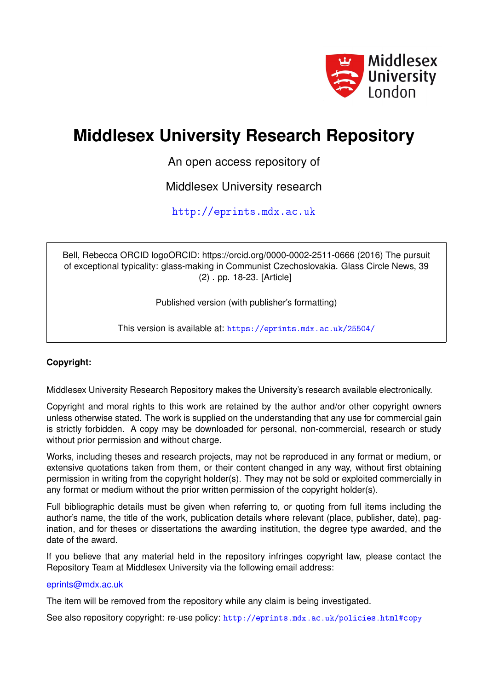

# **Middlesex University Research Repository**

An open access repository of

Middlesex University research

<http://eprints.mdx.ac.uk>

Bell, Rebecca ORCID logoORCID: https://orcid.org/0000-0002-2511-0666 (2016) The pursuit of exceptional typicality: glass-making in Communist Czechoslovakia. Glass Circle News, 39 (2) . pp. 18-23. [Article]

Published version (with publisher's formatting)

This version is available at: <https://eprints.mdx.ac.uk/25504/>

### **Copyright:**

Middlesex University Research Repository makes the University's research available electronically.

Copyright and moral rights to this work are retained by the author and/or other copyright owners unless otherwise stated. The work is supplied on the understanding that any use for commercial gain is strictly forbidden. A copy may be downloaded for personal, non-commercial, research or study without prior permission and without charge.

Works, including theses and research projects, may not be reproduced in any format or medium, or extensive quotations taken from them, or their content changed in any way, without first obtaining permission in writing from the copyright holder(s). They may not be sold or exploited commercially in any format or medium without the prior written permission of the copyright holder(s).

Full bibliographic details must be given when referring to, or quoting from full items including the author's name, the title of the work, publication details where relevant (place, publisher, date), pagination, and for theses or dissertations the awarding institution, the degree type awarded, and the date of the award.

If you believe that any material held in the repository infringes copyright law, please contact the Repository Team at Middlesex University via the following email address:

### [eprints@mdx.ac.uk](mailto:eprints@mdx.ac.uk)

The item will be removed from the repository while any claim is being investigated.

See also repository copyright: re-use policy: <http://eprints.mdx.ac.uk/policies.html#copy>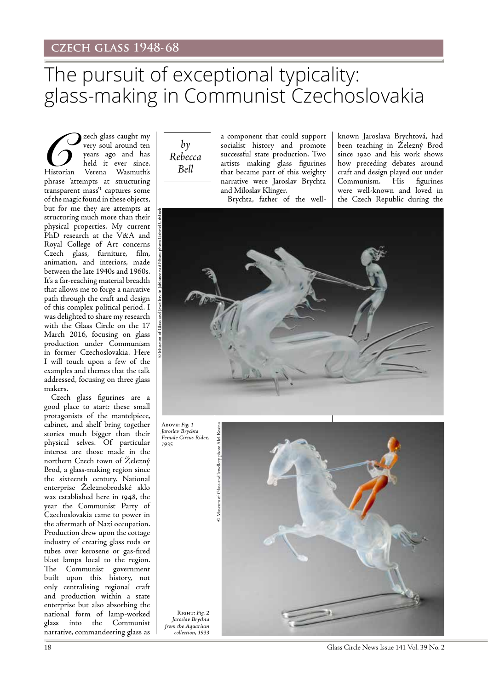# The pursuit of exceptional typicality: glass-making in Communist Czechoslovakia

Zech glass caught my<br>
very soul around ten<br>
years ago and has<br>
Historian Verena Wasmuth's very soul around ten years ago and has held it ever since. Historian Verena Wasmuth's phrase 'attempts at structuring transparent mass<sup>'1</sup> captures some of the magic found in these objects, but for me they are attempts at structuring much more than their physical properties. My current PhD research at the V&A and Royal College of Art concerns Czech glass, furniture, film, animation, and interiors, made between the late 1940s and 1960s. It's a far-reaching material breadth that allows me to forge a narrative path through the craft and design of this complex political period. I was delighted to share my research with the Glass Circle on the 17 March 2016, focusing on glass production under Communism in former Czechoslovakia. Here I will touch upon a few of the examples and themes that the talk addressed, focusing on three glass makers.

Czech glass figurines are a good place to start: these small protagonists of the mantelpiece, cabinet, and shelf bring together stories much bigger than their physical selves. Of particular interest are those made in the northern Czech town of Železný Brod, a glass-making region since the sixteenth century. National enterprise Železnobrodské sklo was established here in 1948, the year the Communist Party of Czechoslovakia came to power in the aftermath of Nazi occupation. Production drew upon the cottage industry of creating glass rods or tubes over kerosene or gas-fired blast lamps local to the region. The Communist government built upon this history, not only centralising regional craft and production within a state enterprise but also absorbing the national form of lamp-worked glass into the Communist narrative, commandeering glass as

 $b\nu$ *Rebecca Bell*

a component that could support socialist history and promote successful state production. Two artists making glass figurines that became part of this weighty narrative were Jaroslav Brychta and Miloslav Klinger. Brychta, father of the well-

been teaching in Železný Brod since 1920 and his work shows how preceding debates around craft and design played out under Communism. His figurines were well-known and loved in the Czech Republic during the

known Jaroslava Brychtová, had



Above: *Fig. 1 Jaroslav Brychta Female Circus Rider, 1935*



18 Glass Circle News Issue 141 Vol. 39 No. 2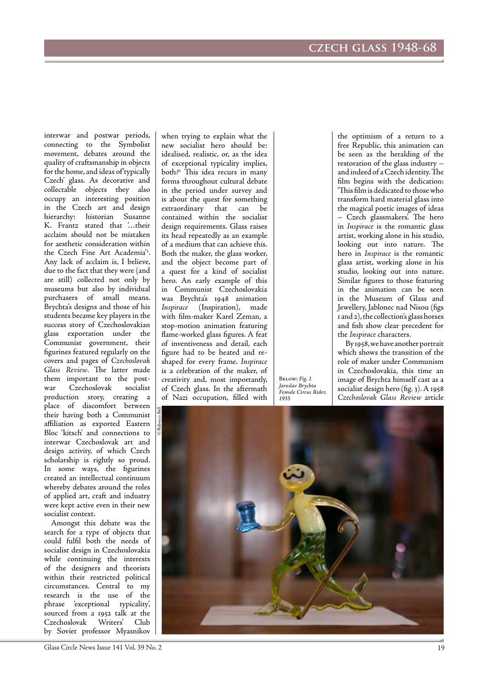interwar and postwar periods, connecting to the Symbolist movement, debates around the quality of craftsmanship in objects for the home, and ideas of 'typically Czech' glass. As decorative and collectable objects they also occupy an interesting position in the Czech art and design hierarchy: historian Susanne K. Frantz stated that '…their acclaim should not be mistaken for aesthetic consideration within the Czech Fine Art Academia'2 . Any lack of acclaim is, I believe, due to the fact that they were (and are still) collected not only by museums but also by individual purchasers of small means. Brychta's designs and those of his students became key players in the success story of Czechoslovakian glass exportation under the Communist government, their figurines featured regularly on the covers and pages of *Czechoslovak Glass Review*. The latter made them important to the post-<br>war Czechoslovak socialist war Czechoslovak production story, creating a place of discomfort between their having both a Communist affiliation as exported Eastern Bloc 'kitsch' and connections to interwar Czechoslovak art and design activity, of which Czech scholarship is rightly so proud. In some ways, the figurines created an intellectual continuum whereby debates around the roles of applied art, craft and industry were kept active even in their new socialist context.

Amongst this debate was the search for a type of objects that could fulfil both the needs of socialist design in Czechoslovakia while continuing the interests of the designers and theorists within their restricted political circumstances. Central to my research is the use of the phrase 'exceptional typicality', sourced from a 1952 talk at the Czechoslovak Writers' Club by Soviet professor Myasnikov

when trying to explain what the new socialist hero should be: idealised, realistic, or, as the idea of exceptional typicality implies, both?3 This idea recurs in many forms throughout cultural debate in the period under survey and is about the quest for something extraordinary that can be contained within the socialist design requirements. Glass raises its head repeatedly as an example of a medium that can achieve this. Both the maker, the glass worker, and the object become part of a quest for a kind of socialist hero. An early example of this in Communist Czechoslovakia was Brychta's 1948 animation *Inspirace* (Inspiration), made with film-maker Karel Zeman, a stop-motion animation featuring flame-worked glass figures. A feat of inventiveness and detail, each figure had to be heated and reshaped for every frame. *Inspirace* is a celebration of the maker, of creativity and, most importantly, of Czech glass. In the aftermath of Nazi occupation, filled with

Below: *Fig. 1 Jaroslav Brychta Female Circus Rider, 1935*

the optimism of a return to a free Republic, this animation can be seen as the heralding of the restoration of the glass industry – and indeed of a Czech identity. The film begins with the dedication: 'This film is dedicated to those who transform hard material glass into the magical poetic images of ideas – Czech glassmakers'. The hero in *Inspirace* is the romantic glass artist, working alone in his studio, looking out into nature. The hero in *Inspirace* is the romantic glass artist, working alone in his studio, looking out into nature. Similar figures to those featuring in the animation can be seen in the Museum of Glass and Jewellery, Jablonec nad Nisou (figs 1 and 2), the collection's glass horses and fish show clear precedent for the *Inspirace* characters.

 By 1958, we have another portrait which shows the transition of the role of maker under Communism in Czechoslovakia, this time an image of Brychta himself cast as a socialist design hero (fig. 3). A 1958 *Czechoslovak Glass Review* article

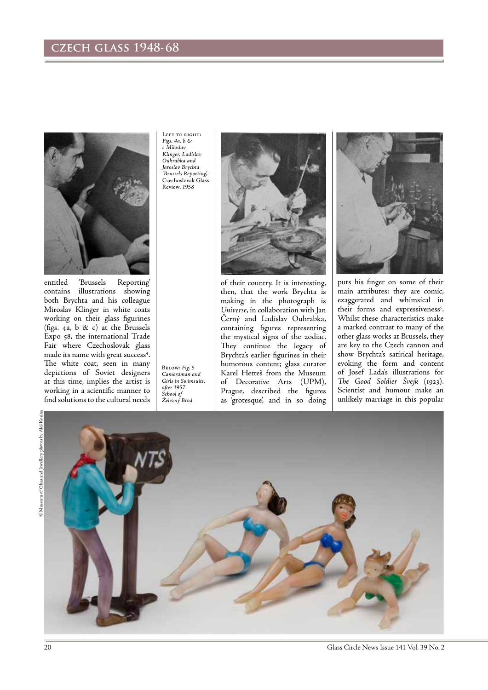# **czech glass 1948-68**



entitled 'Brussels Reporting' contains illustrations showing both Brychta and his colleague Miroslav Klinger in white coats working on their glass figurines (figs. 4a, b  $\&$  c) at the Brussels Expo 58, the international Trade Fair where Czechoslovak glass made its name with great success<sup>4</sup>. The white coat, seen in many depictions of Soviet designers at this time, implies the artist is working in a scientific manner to find solutions to the cultural needs

LEFT TO RIGHT: *Figs. 4a, b & c Miloslav Klinger, Ladislav Ouhrabka and Jaroslav Brychta 'Brussels Reporting',*  Czechoslovak Glass Review*, 1958*

Below: *Fig. 5 Cameraman and Girls in Swimsuits, after 1957 School of Železný Brod*



of their country. It is interesting, then, that the work Brychta is making in the photograph is *Universe*, in collaboration with Jan Černý and Ladislav Ouhrabka, containing figures representing the mystical signs of the zodiac. They continue the legacy of Brychta's earlier figurines in their humorous content; glass curator Karel Hetteš from the Museum of Decorative Arts (UPM), Prague, described the figures as 'grotesque', and in so doing



puts his finger on some of their main attributes: they are comic, exaggerated and whimsical in their forms and expressiveness<sup>5</sup>. Whilst these characteristics make a marked contrast to many of the other glass works at Brussels, they are key to the Czech cannon and show Brychta's satirical heritage, evoking the form and content of Josef Lada's illustrations for *The Good Soldier Švejk* (1923). Scientist and humour make an unlikely marriage in this popular

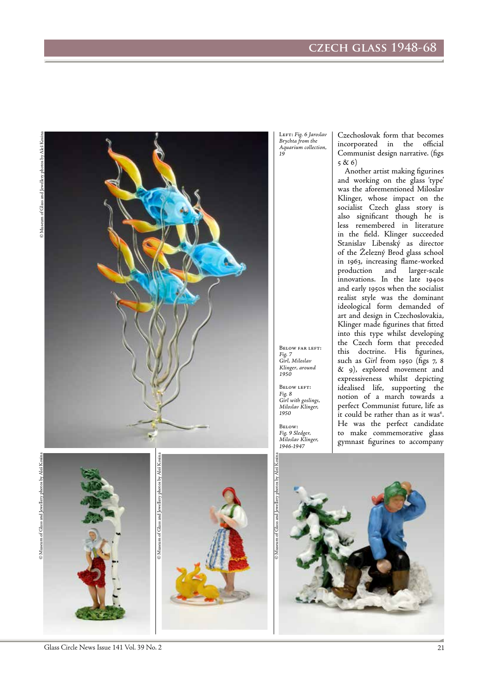# **czech glass 1948-68**



Left: *Fig. 6 Jaroslav Brychta from the Aquarium collection, 19*

Czechoslovak form that becomes incorporated in the official Communist design narrative. (figs 5 & 6)

Another artist making figurines and working on the glass 'type' was the aforementioned Miloslav Klinger, whose impact on the socialist Czech glass story is also significant though he is less remembered in literature in the field. Klinger succeeded Stanislav Libenský as director of the Železný Brod glass school in 1963, increasing flame-worked production and larger-scale innovations. In the late 1940s and early 1950s when the socialist realist style was the dominant ideological form demanded of art and design in Czechoslovakia, Klinger made figurines that fitted into this type whilst developing the Czech form that preceded this doctrine. His figurines, such as *Girl* from 1950 (figs 7, 8 & 9), explored movement and expressiveness whilst depicting idealised life, supporting the notion of a march towards a perfect Communist future, life as it could be rather than as it was<sup>6</sup>. He was the perfect candidate to make commemorative glass gymnast figurines to accompany

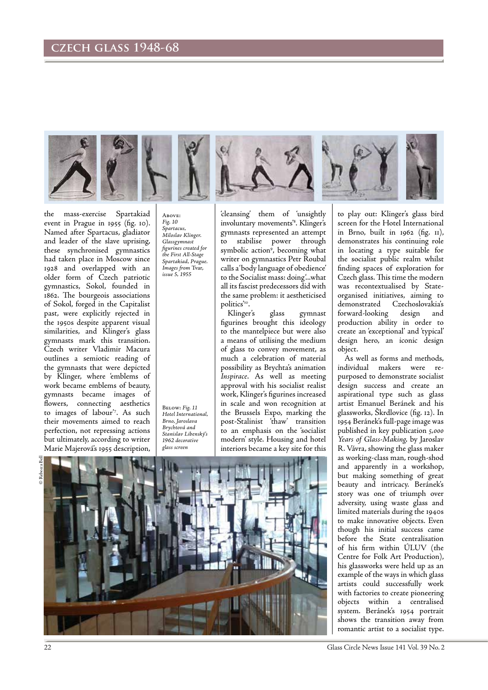

the mass-exercise Spartakiad event in Prague in 1955 (fig. 10). Named after Spartacus, gladiator and leader of the slave uprising, these synchronised gymnastics had taken place in Moscow since 1928 and overlapped with an older form of Czech patriotic gymnastics, Sokol, founded in 1862. The bourgeois associations of Sokol, forged in the Capitalist past, were explicitly rejected in the 1950s despite apparent visual similarities, and Klinger's glass gymnasts mark this transition. Czech writer Vladimir Macura outlines a semiotic reading of the gymnasts that were depicted by Klinger, where 'emblems of work became emblems of beauty, gymnasts became images of flowers, connecting aesthetics to images of labour'7 . As such their movements aimed to reach perfection, not repressing actions but ultimately, according to writer Marie Majerová's 1955 description,

Above: *Fig. 10 Spartacus, Miloslav Klinger. Glassgymnast figurines created for the First All-Stage Spartakiad, Prague. Images from* Tvar, *issue 5, 1955*

Below: *Fig. 11 Hotel International, Brno, Jaroslava Brychtová and Stanislav Libenský's 1962 decorative glass screen* 

'cleansing' them of 'unsightly involuntary movements'<sup>8</sup>. Klinger's gymnasts represented an attempt to stabilise power through symbolic action<sup>9</sup>, becoming what writer on gymnastics Petr Roubal calls a 'body language of obedience' to the Socialist mass: doing '...what all its fascist predecessors did with the same problem: it aestheticised politics'10.

Klinger's glass gymnast figurines brought this ideology to the mantelpiece but were also a means of utilising the medium of glass to convey movement, as much a celebration of material possibility as Brychta's animation *Inspirace*. As well as meeting approval with his socialist realist work, Klinger's figurines increased in scale and won recognition at the Brussels Expo, marking the post-Stalinist 'thaw' transition to an emphasis on the 'socialist modern' style. Housing and hotel interiors became a key site for this

to play out: Klinger's glass bird screen for the Hotel International in Brno, built in 1962 (fig. 11), demonstrates his continuing role in locating a type suitable for the socialist public realm whilst finding spaces of exploration for Czech glass. This time the modern was recontextualised by Stateorganised initiatives, aiming to demonstrated Czechoslovakia's forward-looking design and production ability in order to create an 'exceptional' and 'typical' design hero, an iconic design object.

As well as forms and methods, individual makers were purposed to demonstrate socialist design success and create an aspirational type such as glass artist Emanuel Beránek and his glassworks, Škrdlovice (fig. 12). In 1954 Beránek's full-page image was published in key publication *5,000 Years of Glass-Making,* by Jaroslav R. Vávra, showing the glass maker as working-class man, rough-shod and apparently in a workshop, but making something of great beauty and intricacy. Beránek's story was one of triumph over adversity, using waste glass and limited materials during the 1940s to make innovative objects. Even though his initial success came before the State centralisation of his firm within ÚLUV (the Centre for Folk Art Production), his glassworks were held up as an example of the ways in which glass artists could successfully work with factories to create pioneering objects within a centralised system. Beránek's 1954 portrait shows the transition away from romantic artist to a socialist type.